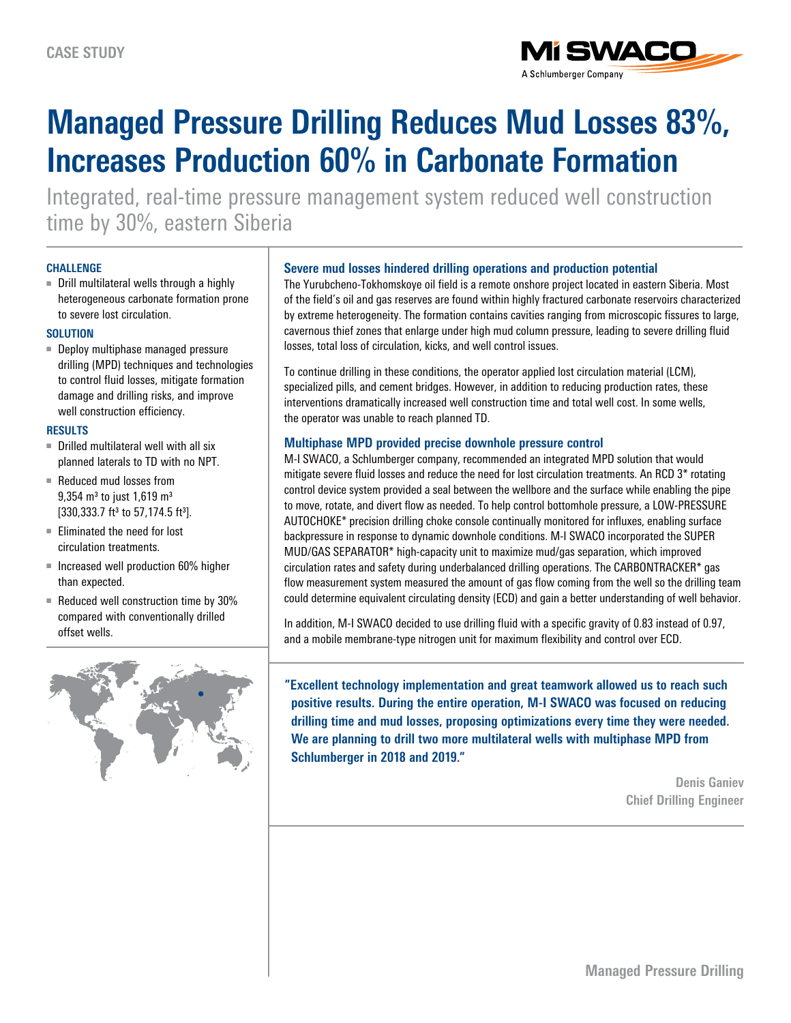

# **Managed Pressure Drilling Reduces Mud Losses 83%, Increases Production 60% in Carbonate Formation**

Integrated, real-time pressure management system reduced well construction time by 30%, eastern Siberia

#### **CHALLENGE**

■ Drill multilateral wells through a highly heterogeneous carbonate formation prone to severe lost circulation.

## **SOLUTION**

■ Deploy multiphase managed pressure drilling (MPD) techniques and technologies to control fluid losses, mitigate formation damage and drilling risks, and improve well construction efficiency.

#### **RESULTS**

- $\blacksquare$  Drilled multilateral well with all six planned laterals to TD with no NPT.
- Reduced mud losses from  $9,354$  m<sup>3</sup> to just 1,619 m<sup>3</sup> [330,333.7 ft<sup>3</sup> to 57,174.5 ft<sup>3</sup>].
- Eliminated the need for lost circulation treatments.
- Increased well production 60% higher than expected.
- Reduced well construction time by 30% compared with conventionally drilled offset wells.



## **Severe mud losses hindered drilling operations and production potential**

The Yurubcheno-Tokhomskoye oil field is a remote onshore project located in eastern Siberia. Most of the field's oil and gas reserves are found within highly fractured carbonate reservoirs characterized by extreme heterogeneity. The formation contains cavities ranging from microscopic fissures to large, cavernous thief zones that enlarge under high mud column pressure, leading to severe drilling fluid losses, total loss of circulation, kicks, and well control issues.

To continue drilling in these conditions, the operator applied lost circulation material (LCM), specialized pills, and cement bridges. However, in addition to reducing production rates, these interventions dramatically increased well construction time and total well cost. In some wells, the operator was unable to reach planned TD.

# **Multiphase MPD provided precise downhole pressure control**

M-I SWACO, a Schlumberger company, recommended an integrated MPD solution that would mitigate severe fluid losses and reduce the need for lost circulation treatments. An RCD 3\* rotating control device system provided a seal between the wellbore and the surface while enabling the pipe to move, rotate, and divert flow as needed. To help control bottomhole pressure, a LOW-PRESSURE AUTOCHOKE\* precision drilling choke console continually monitored for influxes, enabling surface backpressure in response to dynamic downhole conditions. M-I SWACO incorporated the SUPER MUD/GAS SEPARATOR\* high-capacity unit to maximize mud/gas separation, which improved circulation rates and safety during underbalanced drilling operations. The CARBONTRACKER\* gas flow measurement system measured the amount of gas flow coming from the well so the drilling team could determine equivalent circulating density (ECD) and gain a better understanding of well behavior.

In addition, M-I SWACO decided to use drilling fluid with a specific gravity of 0.83 instead of 0.97, and a mobile membrane-type nitrogen unit for maximum flexibility and control over ECD.

**"Excellent technology implementation and great teamwork allowed us to reach such positive results. During the entire operation, M-I SWACO was focused on reducing drilling time and mud losses, proposing optimizations every time they were needed. We are planning to drill two more multilateral wells with multiphase MPD from Schlumberger in 2018 and 2019."**

> **Denis Ganiev Chief Drilling Engineer**